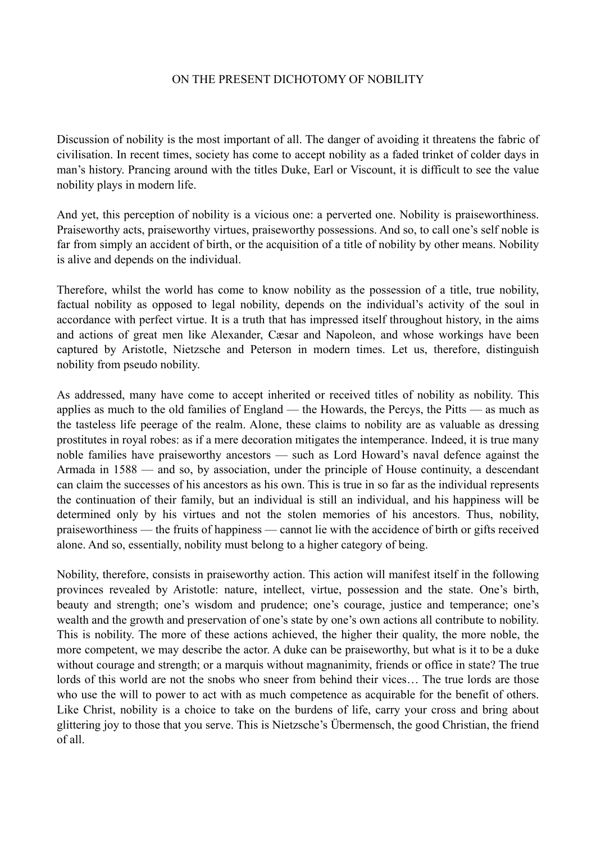## ON THE PRESENT DICHOTOMY OF NOBILITY

Discussion of nobility is the most important of all. The danger of avoiding it threatens the fabric of civilisation. In recent times, society has come to accept nobility as a faded trinket of colder days in man's history. Prancing around with the titles Duke, Earl or Viscount, it is difficult to see the value nobility plays in modern life.

And yet, this perception of nobility is a vicious one: a perverted one. Nobility is praiseworthiness. Praiseworthy acts, praiseworthy virtues, praiseworthy possessions. And so, to call one's self noble is far from simply an accident of birth, or the acquisition of a title of nobility by other means. Nobility is alive and depends on the individual.

Therefore, whilst the world has come to know nobility as the possession of a title, true nobility, factual nobility as opposed to legal nobility, depends on the individual's activity of the soul in accordance with perfect virtue. It is a truth that has impressed itself throughout history, in the aims and actions of great men like Alexander, Cæsar and Napoleon, and whose workings have been captured by Aristotle, Nietzsche and Peterson in modern times. Let us, therefore, distinguish nobility from pseudo nobility.

As addressed, many have come to accept inherited or received titles of nobility as nobility. This applies as much to the old families of England — the Howards, the Percys, the Pitts — as much as the tasteless life peerage of the realm. Alone, these claims to nobility are as valuable as dressing prostitutes in royal robes: as if a mere decoration mitigates the intemperance. Indeed, it is true many noble families have praiseworthy ancestors — such as Lord Howard's naval defence against the Armada in 1588 — and so, by association, under the principle of House continuity, a descendant can claim the successes of his ancestors as his own. This is true in so far as the individual represents the continuation of their family, but an individual is still an individual, and his happiness will be determined only by his virtues and not the stolen memories of his ancestors. Thus, nobility, praiseworthiness — the fruits of happiness — cannot lie with the accidence of birth or gifts received alone. And so, essentially, nobility must belong to a higher category of being.

Nobility, therefore, consists in praiseworthy action. This action will manifest itself in the following provinces revealed by Aristotle: nature, intellect, virtue, possession and the state. One's birth, beauty and strength; one's wisdom and prudence; one's courage, justice and temperance; one's wealth and the growth and preservation of one's state by one's own actions all contribute to nobility. This is nobility. The more of these actions achieved, the higher their quality, the more noble, the more competent, we may describe the actor. A duke can be praiseworthy, but what is it to be a duke without courage and strength; or a marquis without magnanimity, friends or office in state? The true lords of this world are not the snobs who sneer from behind their vices… The true lords are those who use the will to power to act with as much competence as acquirable for the benefit of others. Like Christ, nobility is a choice to take on the burdens of life, carry your cross and bring about glittering joy to those that you serve. This is Nietzsche's Übermensch, the good Christian, the friend of all.